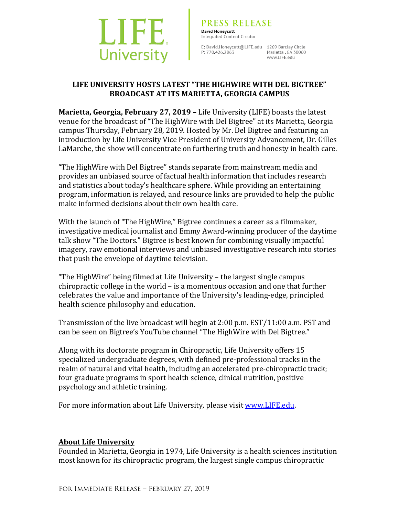

**PRESS RELEA**<br> **David Honeycutt**<br>
Integrated Content Creator<br>
E: David.Honeycutt@LIFE.ee<br>
P: 770.426.2863 **PRESS RELEASE** 

E: David.Honeycutt@LIFE.edu 1269 Barclay Circle P: 770.426.2863 Marietta , GA 30060

## **LIFE UNIVERSITY HOSTS LATEST "THE HIGHWIRE WITH DEL BIGTREE" BROADCAST AT ITS MARIETTA, GEORGIA CAMPUS**

**Marietta, Georgia, February 27, 2019 - Life University (LIFE) boasts the latest** venue for the broadcast of "The HighWire with Del Bigtree" at its Marietta, Georgia campus Thursday, February 28, 2019. Hosted by Mr. Del Bigtree and featuring an introduction by Life University Vice President of University Advancement, Dr. Gilles LaMarche, the show will concentrate on furthering truth and honesty in health care.

"The HighWire with Del Bigtree" stands separate from mainstream media and provides an unbiased source of factual health information that includes research and statistics about today's healthcare sphere. While providing an entertaining program, information is relayed, and resource links are provided to help the public make informed decisions about their own health care.

With the launch of "The HighWire," Bigtree continues a career as a filmmaker, investigative medical journalist and Emmy Award-winning producer of the daytime talk show "The Doctors." Bigtree is best known for combining visually impactful imagery, raw emotional interviews and unbiased investigative research into stories that push the envelope of daytime television.

"The HighWire" being filmed at Life University  $-$  the largest single campus chiropractic college in the world  $-$  is a momentous occasion and one that further celebrates the value and importance of the University's leading-edge, principled health science philosophy and education.

Transmission of the live broadcast will begin at  $2:00$  p.m.  $EST/11:00$  a.m. PST and can be seen on Bigtree's YouTube channel "The HighWire with Del Bigtree."

Along with its doctorate program in Chiropractic, Life University offers 15 specialized undergraduate degrees, with defined pre-professional tracks in the realm of natural and vital health, including an accelerated pre-chiropractic track; four graduate programs in sport health science, clinical nutrition, positive psychology and athletic training.

For more information about Life University, please visit www.LIFE.edu.

## **About Life University**

Founded in Marietta, Georgia in 1974, Life University is a health sciences institution most known for its chiropractic program, the largest single campus chiropractic